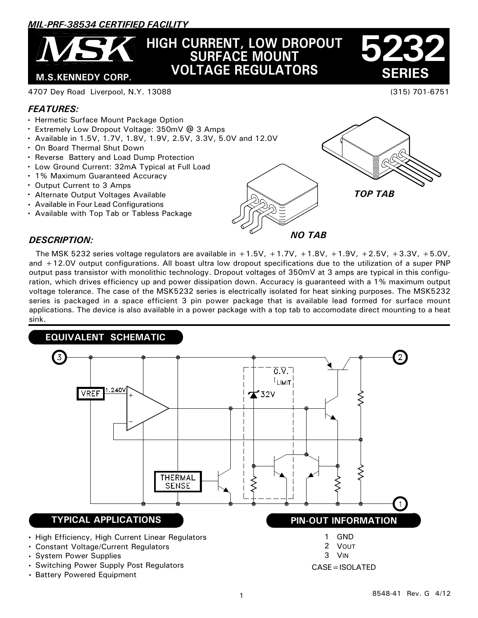# *MIL-PRF-38534 CERTIFIED FACILITY*

# **HIGH CURRENT, LOW DROPOUT SURFACE MOUNT VOLTAGE REGULATORS**

 **SERIES 5232**

(315) 701-6751

#### 4707 Dey Road Liverpool, N.Y. 13088

### *FEATURES:*

- Hermetic Surface Mount Package Option
- Extremely Low Dropout Voltage: 350mV @ 3 Amps
- Available in 1.5V, 1.7V, 1.8V, 1.9V, 2.5V, 3.3V, 5.0V and 12.0V
- On Board Thermal Shut Down

 **M.S.KENNEDY CORP.**

- Reverse Battery and Load Dump Protection
- Low Ground Current: 32mA Typical at Full Load
- 1% Maximum Guaranteed Accuracy
- Output Current to 3 Amps
- Alternate Output Voltages Available
- Available in Four Lead Configurations
- Available with Top Tab or Tabless Package

*TOP TAB*



#### *DESCRIPTION:*

The MSK 5232 series voltage regulators are available in  $+1.5V$ ,  $+1.7V$ ,  $+1.8V$ ,  $+1.9V$ ,  $+2.5V$ ,  $+3.3V$ ,  $+5.0V$ , and +12.0V output configurations. All boast ultra low dropout specifications due to the utilization of a super PNP output pass transistor with monolithic technology. Dropout voltages of 350mV at 3 amps are typical in this configuration, which drives efficiency up and power dissipation down. Accuracy is guaranteed with a 1% maximum output voltage tolerance. The case of the MSK5232 series is electrically isolated for heat sinking purposes. The MSK5232 series is packaged in a space efficient 3 pin power package that is available lead formed for surface mount applications. The device is also available in a power package with a top tab to accomodate direct mounting to a heat sink.



8548-41 Rev. G 4/12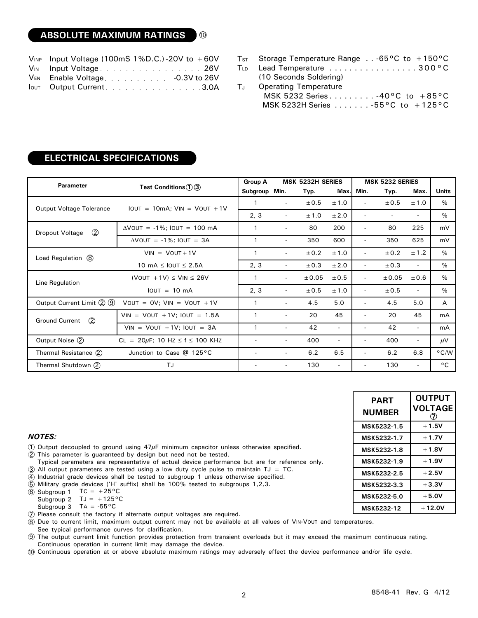#### **ABSOLUTE MAXIMUM RATINGS** 10

| $V_{INP}$ Input Voltage (100mS 1%D.C.)-20V to +60V |
|----------------------------------------------------|
| VIN Input Voltage26V                               |
| VEN Enable Voltage. - 0.3V to 26V                  |
| <b>Output Current.</b> 3.0A                        |

|  |  | T <sub>ST</sub> Storage Temperature Range -65°C to +150°C |  |
|--|--|-----------------------------------------------------------|--|
|  |  |                                                           |  |

Lead Temperature . . . . . . . . . . . . . . . . 300°C **TLD** 

# **ELECTRICAL SPECIFICATIONS**

| <b>Parameter</b>                 | Test Conditions $(1)(3)$                   | <b>Group A</b>           | <b>MSK 5232H SERIES</b>  |            |                          | <b>MSK 5232 SERIES</b>   |       |                          |              |
|----------------------------------|--------------------------------------------|--------------------------|--------------------------|------------|--------------------------|--------------------------|-------|--------------------------|--------------|
|                                  |                                            | Subgroup                 | Min.                     | Typ.       | Max.                     | Min.                     | Typ.  | Max.                     | Units        |
| Output Voltage Tolerance         | $IOUT = 10mA;$ $VIN = VOUT + 1V$           |                          | $\overline{a}$           | ± 0.5      | ±1.0                     | $\overline{a}$           | ± 0.5 | ± 1.0                    | $\%$         |
|                                  |                                            | 2, 3                     |                          | ±1.0       | ± 2.0                    | $\overline{a}$           |       | $\sim$                   | %            |
| $\circled{2}$<br>Dropout Voltage | $\Delta$ VOUT = -1%; IOUT = 100 mA         | $\mathbf{1}$             | $\overline{a}$           | 80         | 200                      | $\overline{\phantom{a}}$ | 80    | 225                      | mV           |
|                                  | $\Delta$ VOUT = -1%; IOUT = 3A             | $\mathbf{1}$             | $\overline{\phantom{a}}$ | 350        | 600                      | -                        | 350   | 625                      | mV           |
| Load Regulation (8)              | $VIN = VOUT + 1V$                          |                          |                          | ± 0.2      | ± 1.0                    | -                        | ± 0.2 | ± 1.2                    | %            |
|                                  | 10 mA $\leq$ IOUT $\leq$ 2.5A              | 2, 3                     | $\overline{\phantom{a}}$ | ± 0.3      | ± 2.0                    | $\sim$                   | ± 0.3 | $\overline{\phantom{a}}$ | $\%$         |
| Line Regulation                  | (VOUT $+1V$ ) $\leq$ VIN $\leq$ 26V        |                          | $\overline{\phantom{a}}$ | $\pm 0.05$ | $\pm 0.5$                | -                        | ±0.05 | ±0.6                     | $\%$         |
|                                  | $IOUT = 10 mA$                             | 2, 3                     |                          | ± 0.5      | ±1.0                     | $\overline{\phantom{0}}$ | ± 0.5 | $\sim$                   | %            |
| Output Current Limit 2 9         | VOUT = $OV$ ; $VIN = VOUT + 1V$            | $\mathbf{1}$             | $\overline{a}$           | 4.5        | 5.0                      | $\overline{\phantom{0}}$ | 4.5   | 5.0                      | A            |
| <b>Ground Current</b><br>(2)     | $VIN = VOUT + 1V$ ; $IOUT = 1.5A$          | 1                        | $\overline{a}$           | 20         | 45                       | $\overline{\phantom{a}}$ | 20    | 45                       | mA           |
|                                  | $VIN = VOUT + 1V$ ; $IOUT = 3A$            |                          | $\overline{a}$           | 42         | $\sim$                   | -                        | 42    | $\sim$                   | mA           |
| Output Noise (2)                 | $CL = 20\mu F$ ; 10 Hz $\le f \le 100$ KHz |                          |                          | 400        | $\sim$                   |                          | 400   | $\sim$                   | μV           |
| Thermal Resistance (2)           | Junction to Case @ 125°C                   | $\overline{\phantom{0}}$ |                          | 6.2        | 6.5                      |                          | 6.2   | 6.8                      | °C/W         |
| Thermal Shutdown (2)<br>TJ       |                                            | $\overline{\phantom{a}}$ |                          | 130        | $\overline{\phantom{a}}$ |                          | 130   | $\sim$                   | $^{\circ}$ C |

| PART<br><b>NUMBER</b> | <b>OUTPUT</b><br><b>VOLTAGE</b> |
|-----------------------|---------------------------------|
| MSK5232-1.5           | $+1.5V$                         |
| MSK5232-1.7           | $+1.7V$                         |
| MSK5232-1.8           | $+1.8V$                         |
| MSK5232-1.9           | $+1.9V$                         |
| MSK5232-2.5           | $+2.5V$                         |
| MSK5232-3.3           | $+3.3V$                         |
| MSK5232-5.0           | $+5.0V$                         |
| <b>MSK5232-12</b>     | $+12.0V$                        |

#### *NOTES:*

 $\overline{1}$ ) Output decoupled to ground using 47 $\mu$ F minimum capacitor unless otherwise specified.

- 2 This parameter is guaranteed by design but need not be tested.
- Typical parameters are representative of actual device performance but are for reference only.
- $\widehat{3}$  All output parameters are tested using a low duty cycle pulse to maintain TJ = TC.
- $\widehat{4}$ Industrial grade devices shall be tested to subgroup 1 unless otherwise specified.

5  $6$  Subgroup 1 TC = +25°C Military grade devices ('H' suffix) shall be 100% tested to subgroups 1,2,3.

Subgroup 2  $TJ = +125^{\circ}C$ Subgroup 3 TA =  $-55^{\circ}$ C

7 Please consult the factory if alternate output voltages are required.

8 Due to current limit, maximum output current may not be available at all values of VIN-VOUT and temperatures.

See typical performance curves for clarification.

9 The output current limit function provides protection from transient overloads but it may exceed the maximum continuous rating. Continuous operation in current limit may damage the device.

10 Continuous operation at or above absolute maximum ratings may adversely effect the device performance and/or life cycle.

<sup>(10</sup> Seconds Soldering) Operating Temperature MSK 5232 Series. . . . . . . . . -40°C to +85°C MSK 5232H Series . . . . . . . -55°C to +125°C TJ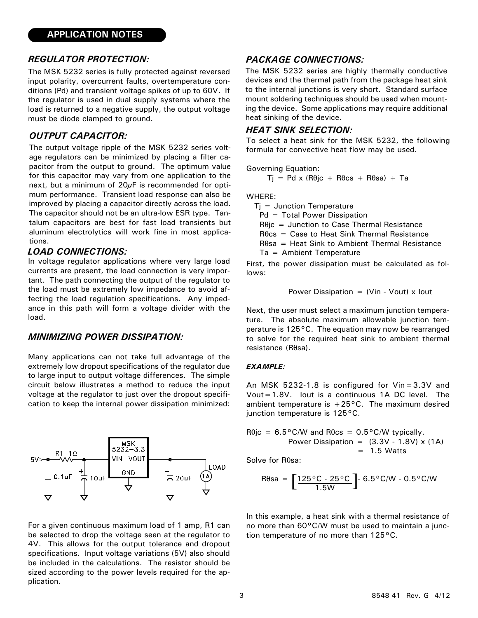#### *REGULATOR PROTECTION:*

The MSK 5232 series is fully protected against reversed input polarity, overcurrent faults, overtemperature conditions (Pd) and transient voltage spikes of up to 60V. If the regulator is used in dual supply systems where the load is returned to a negative supply, the output voltage must be diode clamped to ground.

#### *OUTPUT CAPACITOR:*

The output voltage ripple of the MSK 5232 series voltage regulators can be minimized by placing a filter capacitor from the output to ground. The optimum value for this capacitor may vary from one application to the next, but a minimum of  $20\mu$ F is recommended for optimum performance. Transient load response can also be improved by placing a capacitor directly across the load. The capacitor should not be an ultra-low ESR type. Tantalum capacitors are best for fast load transients but aluminum electrolytics will work fine in most applications.

#### *LOAD CONNECTIONS:*

In voltage regulator applications where very large load currents are present, the load connection is very important. The path connecting the output of the regulator to the load must be extremely low impedance to avoid affecting the load regulation specifications. Any impedance in this path will form a voltage divider with the load.

#### *MINIMIZING POWER DISSIPATION:*

Many applications can not take full advantage of the extremely low dropout specifications of the regulator due to large input to output voltage differences. The simple circuit below illustrates a method to reduce the input voltage at the regulator to just over the dropout specification to keep the internal power dissipation minimized:



For a given continuous maximum load of 1 amp, R1 can be selected to drop the voltage seen at the regulator to 4V. This allows for the output tolerance and dropout specifications. Input voltage variations (5V) also should be included in the calculations. The resistor should be sized according to the power levels required for the application.

#### *PACKAGE CONNECTIONS:*

The MSK 5232 series are highly thermally conductive devices and the thermal path from the package heat sink to the internal junctions is very short. Standard surface mount soldering techniques should be used when mounting the device. Some applications may require additional heat sinking of the device.

#### *HEAT SINK SELECTION:*

To select a heat sink for the MSK 5232, the following formula for convective heat flow may be used.

Government Equation:

\n
$$
Tj = Pdx (R\theta jc + R\theta cs + R\theta sa) + Ta
$$

WHERE:

 $Ti =$  Junction Temperature

Pd = Total Power Dissipation

 $R\theta$ ic = Junction to Case Thermal Resistance

Rθcs = Case to Heat Sink Thermal Resistance

Rθsa = Heat Sink to Ambient Thermal Resistance

Ta = Ambient Temperature

First, the power dissipation must be calculated as follows:

Power Dissipation = (Vin - Vout) x Iout

Next, the user must select a maximum junction temperature. The absolute maximum allowable junction temperature is 125°C. The equation may now be rearranged to solve for the required heat sink to ambient thermal resistance (Rθsa).

#### *EXAMPLE:*

An MSK 5232-1.8 is configured for Vin=3.3V and Vout=1.8V. Iout is a continuous 1A DC level. The ambient temperature is  $+25^{\circ}$ C. The maximum desired junction temperature is 125°C.

 $R\theta$ jc = 6.5°C/W and  $R\theta$ cs = 0.5°C/W typically. Power Dissipation =  $(3.3V - 1.8V) \times (1A)$  $= 1.5$  Watts

Solve for Rθsa:

$$
\text{R}\theta\text{sa} = \left[\frac{125\text{°C} \cdot 25\text{°C}}{1.5\text{W}}\right] \cdot 6.5\text{°C/W} \cdot 0.5\text{°C/W}
$$

In this example, a heat sink with a thermal resistance of no more than 60°C/W must be used to maintain a junction temperature of no more than 125°C.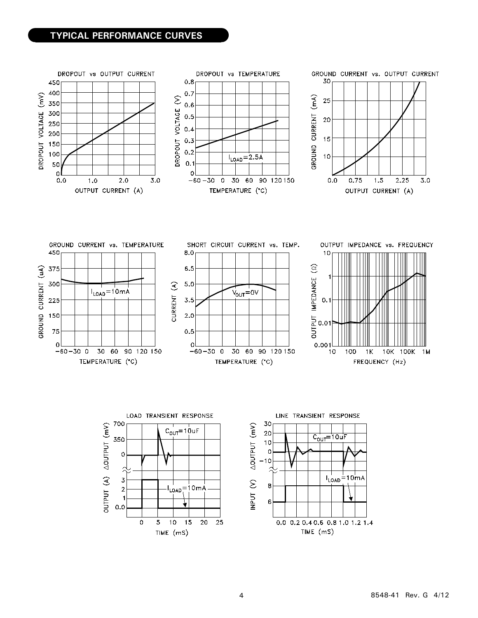### **TYPICAL PERFORMANCE CURVES**



TIME (mS)

TIME (mS)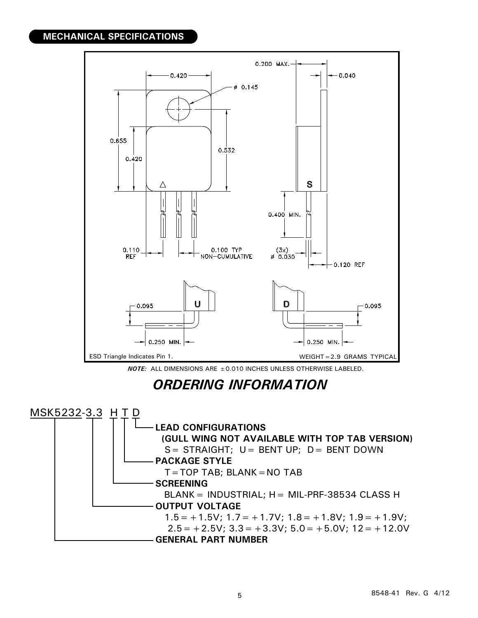## **MECHANICAL SPECIFICATIONS**



*NOTE:* ALL DIMENSIONS ARE ±0.010 INCHES UNLESS OTHERWISE LABELED.

# *ORDERING INFORMATION*